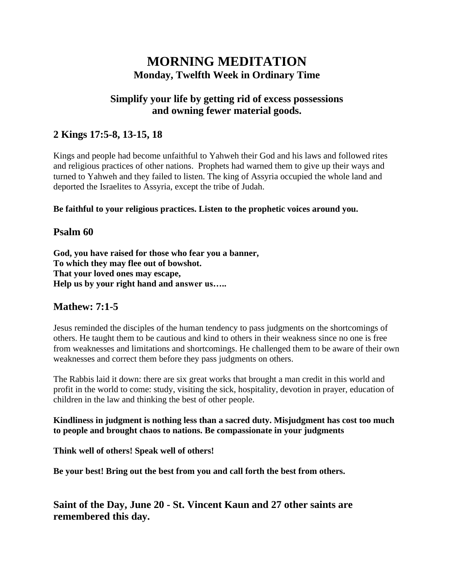# **MORNING MEDITATION Monday, Twelfth Week in Ordinary Time**

## **Simplify your life by getting rid of excess possessions and owning fewer material goods.**

## **2 Kings 17:5-8, 13-15, 18**

Kings and people had become unfaithful to Yahweh their God and his laws and followed rites and religious practices of other nations. Prophets had warned them to give up their ways and turned to Yahweh and they failed to listen. The king of Assyria occupied the whole land and deported the Israelites to Assyria, except the tribe of Judah.

**Be faithful to your religious practices. Listen to the prophetic voices around you.**

### **Psalm 60**

**God, you have raised for those who fear you a banner, To which they may flee out of bowshot. That your loved ones may escape, Help us by your right hand and answer us…..**

### **Mathew: 7:1-5**

Jesus reminded the disciples of the human tendency to pass judgments on the shortcomings of others. He taught them to be cautious and kind to others in their weakness since no one is free from weaknesses and limitations and shortcomings. He challenged them to be aware of their own weaknesses and correct them before they pass judgments on others.

The Rabbis laid it down: there are six great works that brought a man credit in this world and profit in the world to come: study, visiting the sick, hospitality, devotion in prayer, education of children in the law and thinking the best of other people.

**Kindliness in judgment is nothing less than a sacred duty. Misjudgment has cost too much to people and brought chaos to nations. Be compassionate in your judgments**

**Think well of others! Speak well of others!**

**Be your best! Bring out the best from you and call forth the best from others.**

**Saint of the Day, June 20 - St. Vincent Kaun and 27 other saints are remembered this day.**